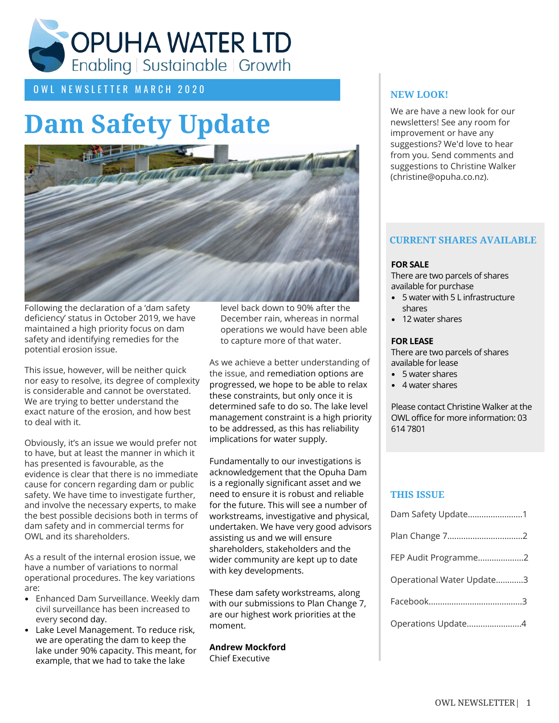

O W L N E W S L E T T E R M A R C H 2 0 2 0

## **Dam Safety Update**



Following the declaration of a 'dam safety deficiency' status in October 2019, we have maintained a high priority focus on dam safety and identifying remedies for the potential erosion issue.

This issue, however, will be neither quick nor easy to resolve, its degree of complexity is considerable and cannot be overstated. We are trying to better understand the exact nature of the erosion, and how best to deal with it.

Obviously, it's an issue we would prefer not to have, but at least the manner in which it has presented is favourable, as the evidence is clear that there is no immediate cause for concern regarding dam or public safety. We have time to investigate further, and involve the necessary experts, to make the best possible decisions both in terms of dam safety and in commercial terms for OWL and its shareholders.

As a result of the internal erosion issue, we have a number of variations to normal operational procedures. The key variations are:

- Enhanced Dam Surveillance. Weekly dam civil surveillance has been increased to every second day.
- Lake Level Management. To reduce risk, we are operating the dam to keep the lake under 90% capacity. This meant, for example, that we had to take the lake

level back down to 90% after the December rain, whereas in normal operations we would have been able to capture more of that water.

As we achieve a better understanding of the issue, and remediation options are progressed, we hope to be able to relax these constraints, but only once it is determined safe to do so. The lake level management constraint is a high priority to be addressed, as this has reliability implications for water supply.

Fundamentally to our investigations is acknowledgement that the Opuha Dam is a regionally significant asset and we need to ensure it is robust and reliable for the future. This will see a number of workstreams, investigative and physical, undertaken. We have very good advisors assisting us and we will ensure shareholders, stakeholders and the wider community are kept up to date with key developments.

These dam safety workstreams, along with our submissions to Plan Change 7, are our highest work priorities at the moment.

**Andrew Mockford** Chief Executive

#### **NEW LOOK!**

We are have a new look for our newsletters! See any room for improvement or have any suggestions? We'd love to hear from you. Send comments and suggestions to Christine Walker (christine@opuha.co.nz).

#### **CURRENT SHARES AVAILABLE**

#### **FOR SALE**

There are two parcels of shares available for purchase

- 5 water with 5 L infrastructure shares
- 12 water shares

#### **FOR LEASE**

There are two parcels of shares available for lease

- 5 water shares
- 4 water shares

Please contact Christine Walker at the OWL office for more information: 03 614 7801

#### **THIS ISSUE**

| FEP Audit Programme2<br>Operational Water Update3<br>Operations Update4 | Dam Safety Update1 |  |
|-------------------------------------------------------------------------|--------------------|--|
|                                                                         |                    |  |
|                                                                         |                    |  |
|                                                                         |                    |  |
|                                                                         |                    |  |
|                                                                         |                    |  |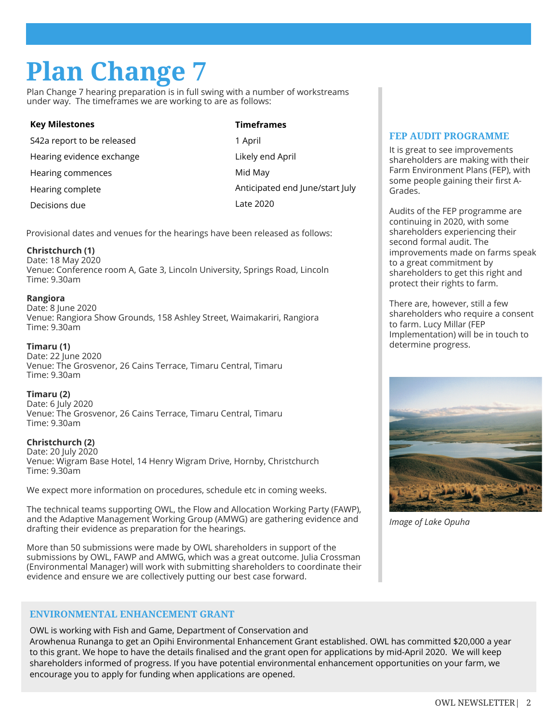## **Plan Change 7**

Plan Change 7 hearing preparation is in full swing with a number of workstreams under way. The timeframes we are working to are as follows:

| <b>Key Milestones</b>      | <b>Timeframes</b>               |
|----------------------------|---------------------------------|
| S42a report to be released | 1 April                         |
| Hearing evidence exchange  | Likely end April                |
| Hearing commences          | Mid May                         |
| Hearing complete           | Anticipated end June/start July |
| Decisions due              | Late 2020                       |
|                            |                                 |

Provisional dates and venues for the hearings have been released as follows:

#### **Christchurch (1)**

Date: 18 May 2020 Venue: Conference room A, Gate 3, Lincoln University, Springs Road, Lincoln Time: 9.30am

#### **Rangiora**

Date: 8 June 2020 Venue: Rangiora Show Grounds, 158 Ashley Street, Waimakariri, Rangiora Time: 9.30am

#### **Timaru (1)**

Date: 22 June 2020 Venue: The Grosvenor, 26 Cains Terrace, Timaru Central, Timaru Time: 9.30am

**Timaru (2)** Date: 6 July 2020 Venue: The Grosvenor, 26 Cains Terrace, Timaru Central, Timaru Time: 9.30am

#### **Christchurch (2)**

Date: 20 July 2020 Venue: Wigram Base Hotel, 14 Henry Wigram Drive, Hornby, Christchurch Time: 9.30am

We expect more information on procedures, schedule etc in coming weeks.

The technical teams supporting OWL, the Flow and Allocation Working Party (FAWP), and the Adaptive Management Working Group (AMWG) are gathering evidence and drafting their evidence as preparation for the hearings.

More than 50 submissions were made by OWL shareholders in support of the submissions by OWL, FAWP and AMWG, which was a great outcome. Julia Crossman (Environmental Manager) will work with submitting shareholders to coordinate their evidence and ensure we are collectively putting our best case forward.

#### **ENVIRONMENTAL ENHANCEMENT GRANT**

OWL is working with Fish and Game, Department of Conservation and Arowhenua Runanga to get an Opihi Environmental Enhancement Grant established. OWL has committed \$20,000 a year to this grant. We hope to have the details finalised and the grant open for applications by mid-April 2020. We will keep shareholders informed of progress. If you have potential environmental enhancement opportunities on your farm, we encourage you to apply for funding when applications are opened.

#### **FEP AUDIT PROGRAMME**

It is great to see improvements shareholders are making with their Farm Environment Plans (FEP), with some people gaining their first A-Grades.

Audits of the FEP programme are continuing in 2020, with some shareholders experiencing their second formal audit. The improvements made on farms speak to a great commitment by shareholders to get this right and protect their rights to farm.

There are, however, still a few shareholders who require a consent to farm. Lucy Millar (FEP Implementation) will be in touch to determine progress.



*Image of Lake Opuha*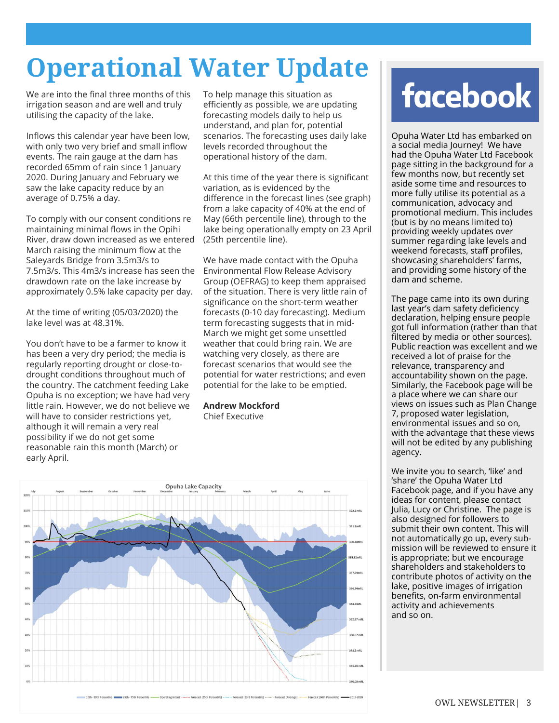## **Operational Water Update**

We are into the final three months of this irrigation season and are well and truly utilising the capacity of the lake.

Inflows this calendar year have been low, with only two very brief and small inflow events. The rain gauge at the dam has recorded 65mm of rain since 1 January 2020. During January and February we saw the lake capacity reduce by an average of 0.75% a day.

To comply with our consent conditions re maintaining minimal flows in the Opihi River, draw down increased as we entered March raising the minimum flow at the Saleyards Bridge from 3.5m3/s to 7.5m3/s. This 4m3/s increase has seen the drawdown rate on the lake increase by approximately 0.5% lake capacity per day.

At the time of writing (05/03/2020) the lake level was at 48.31%.

You don't have to be a farmer to know it has been a very dry period; the media is regularly reporting drought or close-todrought conditions throughout much of the country. The catchment feeding Lake Opuha is no exception; we have had very little rain. However, we do not believe we will have to consider restrictions yet, although it will remain a very real possibility if we do not get some reasonable rain this month (March) or early April.

To help manage this situation as efficiently as possible, we are updating forecasting models daily to help us understand, and plan for, potential scenarios. The forecasting uses daily lake levels recorded throughout the operational history of the dam.

At this time of the year there is significant variation, as is evidenced by the difference in the forecast lines (see graph) from a lake capacity of 40% at the end of May (66th percentile line), through to the lake being operationally empty on 23 April (25th percentile line).

We have made contact with the Opuha Environmental Flow Release Advisory Group (OEFRAG) to keep them appraised of the situation. There is very little rain of significance on the short-term weather forecasts (0-10 day forecasting). Medium term forecasting suggests that in mid-March we might get some unsettled weather that could bring rain. We are watching very closely, as there are forecast scenarios that would see the potential for water restrictions; and even potential for the lake to be emptied.

### **Andrew Mockford**

Chief Executive



# **facebook**

Opuha Water Ltd has embarked on a social media Journey! We have had the Opuha Water Ltd Facebook page sitting in the background for a few months now, but recently set aside some time and resources to more fully utilise its potential as a communication, advocacy and promotional medium. This includes (but is by no means limited to) providing weekly updates over summer regarding lake levels and weekend forecasts, staff profiles, showcasing shareholders' farms, and providing some history of the dam and scheme.

The page came into its own during last year's dam safety deficiency declaration, helping ensure people got full information (rather than that filtered by media or other sources). Public reaction was excellent and we received a lot of praise for the relevance, transparency and accountability shown on the page. Similarly, the Facebook page will be a place where we can share our views on issues such as Plan Change 7, proposed water legislation, environmental issues and so on, with the advantage that these views will not be edited by any publishing agency.

We invite you to search, 'like' and 'share' the Opuha Water Ltd Facebook page, and if you have any ideas for content, please contact Julia, Lucy or Christine. The page is also designed for followers to submit their own content. This will not automatically go up, every submission will be reviewed to ensure it is appropriate; but we encourage shareholders and stakeholders to contribute photos of activity on the lake, positive images of irrigation benefits, on-farm environmental activity and achievements and so on.